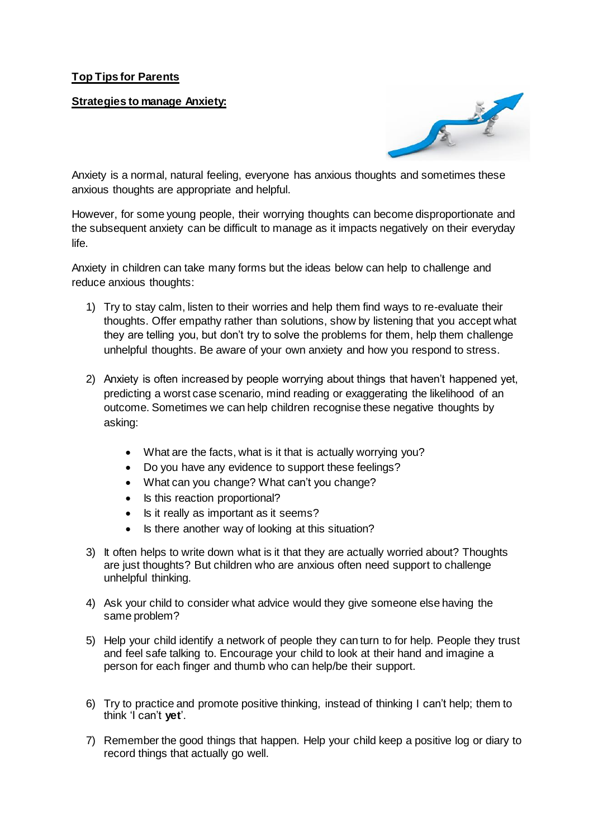## **Top Tips for Parents**

**Strategies to manage Anxiety:**



Anxiety is a normal, natural feeling, everyone has anxious thoughts and sometimes these anxious thoughts are appropriate and helpful.

However, for some young people, their worrying thoughts can become disproportionate and the subsequent anxiety can be difficult to manage as it impacts negatively on their everyday life.

Anxiety in children can take many forms but the ideas below can help to challenge and reduce anxious thoughts:

- 1) Try to stay calm, listen to their worries and help them find ways to re-evaluate their thoughts. Offer empathy rather than solutions, show by listening that you accept what they are telling you, but don't try to solve the problems for them, help them challenge unhelpful thoughts. Be aware of your own anxiety and how you respond to stress.
- 2) Anxiety is often increased by people worrying about things that haven't happened yet, predicting a worst case scenario, mind reading or exaggerating the likelihood of an outcome. Sometimes we can help children recognise these negative thoughts by asking:
	- What are the facts, what is it that is actually worrying you?
	- Do you have any evidence to support these feelings?
	- What can you change? What can't you change?
	- Is this reaction proportional?
	- Is it really as important as it seems?
	- Is there another way of looking at this situation?
- 3) It often helps to write down what is it that they are actually worried about? Thoughts are just thoughts? But children who are anxious often need support to challenge unhelpful thinking.
- 4) Ask your child to consider what advice would they give someone else having the same problem?
- 5) Help your child identify a network of people they can turn to for help. People they trust and feel safe talking to. Encourage your child to look at their hand and imagine a person for each finger and thumb who can help/be their support.
- 6) Try to practice and promote positive thinking, instead of thinking I can't help; them to think 'I can't **yet**'.
- 7) Remember the good things that happen. Help your child keep a positive log or diary to record things that actually go well.